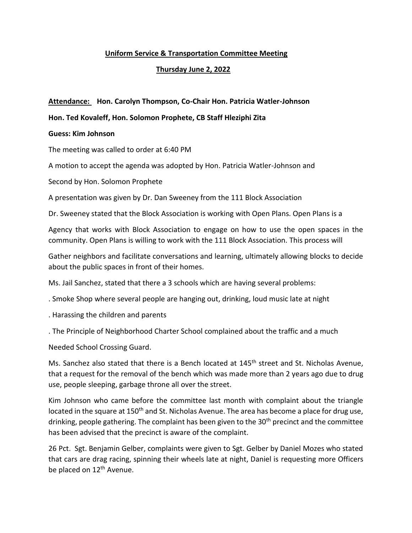# **Uniform Service & Transportation Committee Meeting**

# **Thursday June 2, 2022**

## **Attendance: Hon. Carolyn Thompson, Co-Chair Hon. Patricia Watler-Johnson**

### **Hon. Ted Kovaleff, Hon. Solomon Prophete, CB Staff Hleziphi Zita**

### **Guess: Kim Johnson**

The meeting was called to order at 6:40 PM

A motion to accept the agenda was adopted by Hon. Patricia Watler-Johnson and

Second by Hon. Solomon Prophete

A presentation was given by Dr. Dan Sweeney from the 111 Block Association

Dr. Sweeney stated that the Block Association is working with Open Plans. Open Plans is a

Agency that works with Block Association to engage on how to use the open spaces in the community. Open Plans is willing to work with the 111 Block Association. This process will

Gather neighbors and facilitate conversations and learning, ultimately allowing blocks to decide about the public spaces in front of their homes.

Ms. Jail Sanchez, stated that there a 3 schools which are having several problems:

- . Smoke Shop where several people are hanging out, drinking, loud music late at night
- . Harassing the children and parents
- . The Principle of Neighborhood Charter School complained about the traffic and a much

Needed School Crossing Guard.

Ms. Sanchez also stated that there is a Bench located at 145<sup>th</sup> street and St. Nicholas Avenue, that a request for the removal of the bench which was made more than 2 years ago due to drug use, people sleeping, garbage throne all over the street.

Kim Johnson who came before the committee last month with complaint about the triangle located in the square at 150<sup>th</sup> and St. Nicholas Avenue. The area has become a place for drug use, drinking, people gathering. The complaint has been given to the 30<sup>th</sup> precinct and the committee has been advised that the precinct is aware of the complaint.

26 Pct. Sgt. Benjamin Gelber, complaints were given to Sgt. Gelber by Daniel Mozes who stated that cars are drag racing, spinning their wheels late at night, Daniel is requesting more Officers be placed on 12<sup>th</sup> Avenue.